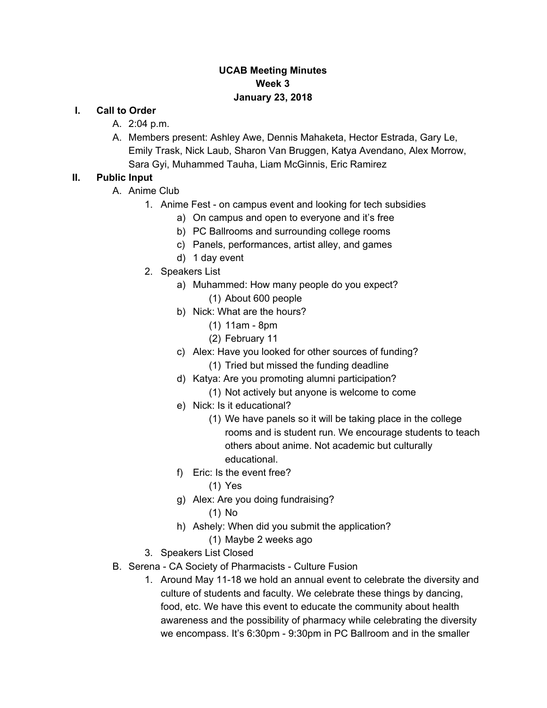### **UCAB Meeting Minutes Week 3 January 23, 2018**

#### **I. Call to Order**

- A. 2:04 p.m.
- A. Members present: Ashley Awe, Dennis Mahaketa, Hector Estrada, Gary Le, Emily Trask, Nick Laub, Sharon Van Bruggen, Katya Avendano, Alex Morrow, Sara Gyi, Muhammed Tauha, Liam McGinnis, Eric Ramirez

# **II. Public Input**

- A. Anime Club
	- 1. Anime Fest on campus event and looking for tech subsidies
		- a) On campus and open to everyone and it's free
		- b) PC Ballrooms and surrounding college rooms
		- c) Panels, performances, artist alley, and games
		- d) 1 day event
	- 2. Speakers List
		- a) Muhammed: How many people do you expect? (1) About 600 people
		- b) Nick: What are the hours?
			- (1) 11am 8pm
			- (2) February 11
		- c) Alex: Have you looked for other sources of funding?
			- (1) Tried but missed the funding deadline
		- d) Katya: Are you promoting alumni participation?
			- (1) Not actively but anyone is welcome to come
		- e) Nick: Is it educational?
			- (1) We have panels so it will be taking place in the college rooms and is student run. We encourage students to teach others about anime. Not academic but culturally educational.
		- f) Eric: Is the event free?
			- (1) Yes
		- g) Alex: Are you doing fundraising?
			- (1) No
		- h) Ashely: When did you submit the application?
			- (1) Maybe 2 weeks ago
	- 3. Speakers List Closed
- B. Serena CA Society of Pharmacists Culture Fusion
	- 1. Around May 11-18 we hold an annual event to celebrate the diversity and culture of students and faculty. We celebrate these things by dancing, food, etc. We have this event to educate the community about health awareness and the possibility of pharmacy while celebrating the diversity we encompass. It's 6:30pm - 9:30pm in PC Ballroom and in the smaller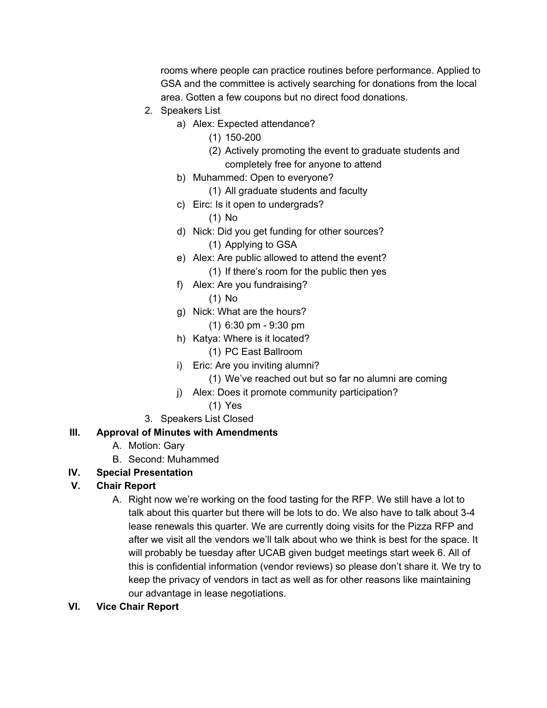rooms where people can practice routines before performance. Applied to GSA and the committee is actively searching for donations from the local area. Gotten a few coupons but no direct food donations.

- 2. Speakers List
	- a) Alex: Expected attendance?
		- (1) 150-200
		- (2) Actively promoting the event to graduate students and completely free for anyone to attend
	- b) Muhammed: Open to everyone?
		- (1) All graduate students and faculty
	- c) Eirc: Is it open to undergrads?
		- (1) No
	- d) Nick: Did you get funding for other sources? (1) Applying to GSA
	- e) Alex: Are public allowed to attend the event? (1) If there's room for the public then yes
	- f) Alex: Are you fundraising?

(1) No

- g) Nick: What are the hours?
	- (1) 6:30 pm 9:30 pm
- h) Katya: Where is it located?
	- (1) PC East Ballroom
- i) Eric: Are you inviting alumni?
	- (1) We've reached out but so far no alumni are coming
- j) Alex: Does it promote community participation?
	- (1) Yes
- 3. Speakers List Closed

## **III. Approval of Minutes with Amendments**

- A. Motion: Gary
- B. Second: Muhammed
- **IV. Special Presentation**

## **V. Chair Report**

- A. Right now we're working on the food tasting for the RFP. We still have a lot to talk about this quarter but there will be lots to do. We also have to talk about 3-4 lease renewals this quarter. We are currently doing visits for the Pizza RFP and after we visit all the vendors we'll talk about who we think is best for the space. It will probably be tuesday after UCAB given budget meetings start week 6. All of this is confidential information (vendor reviews) so please don't share it. We try to keep the privacy of vendors in tact as well as for other reasons like maintaining our advantage in lease negotiations.
- **VI. Vice Chair Report**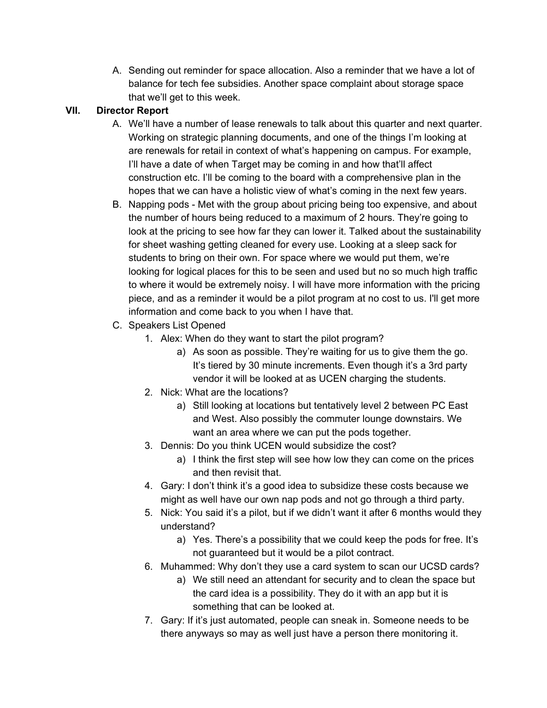A. Sending out reminder for space allocation. Also a reminder that we have a lot of balance for tech fee subsidies. Another space complaint about storage space that we'll get to this week.

#### **VII. Director Report**

- A. We'll have a number of lease renewals to talk about this quarter and next quarter. Working on strategic planning documents, and one of the things I'm looking at are renewals for retail in context of what's happening on campus. For example, I'll have a date of when Target may be coming in and how that'll affect construction etc. I'll be coming to the board with a comprehensive plan in the hopes that we can have a holistic view of what's coming in the next few years.
- B. Napping pods Met with the group about pricing being too expensive, and about the number of hours being reduced to a maximum of 2 hours. They're going to look at the pricing to see how far they can lower it. Talked about the sustainability for sheet washing getting cleaned for every use. Looking at a sleep sack for students to bring on their own. For space where we would put them, we're looking for logical places for this to be seen and used but no so much high traffic to where it would be extremely noisy. I will have more information with the pricing piece, and as a reminder it would be a pilot program at no cost to us. I'll get more information and come back to you when I have that.
- C. Speakers List Opened
	- 1. Alex: When do they want to start the pilot program?
		- a) As soon as possible. They're waiting for us to give them the go. It's tiered by 30 minute increments. Even though it's a 3rd party vendor it will be looked at as UCEN charging the students.
	- 2. Nick: What are the locations?
		- a) Still looking at locations but tentatively level 2 between PC East and West. Also possibly the commuter lounge downstairs. We want an area where we can put the pods together.
	- 3. Dennis: Do you think UCEN would subsidize the cost?
		- a) I think the first step will see how low they can come on the prices and then revisit that.
	- 4. Gary: I don't think it's a good idea to subsidize these costs because we might as well have our own nap pods and not go through a third party.
	- 5. Nick: You said it's a pilot, but if we didn't want it after 6 months would they understand?
		- a) Yes. There's a possibility that we could keep the pods for free. It's not guaranteed but it would be a pilot contract.
	- 6. Muhammed: Why don't they use a card system to scan our UCSD cards?
		- a) We still need an attendant for security and to clean the space but the card idea is a possibility. They do it with an app but it is something that can be looked at.
	- 7. Gary: If it's just automated, people can sneak in. Someone needs to be there anyways so may as well just have a person there monitoring it.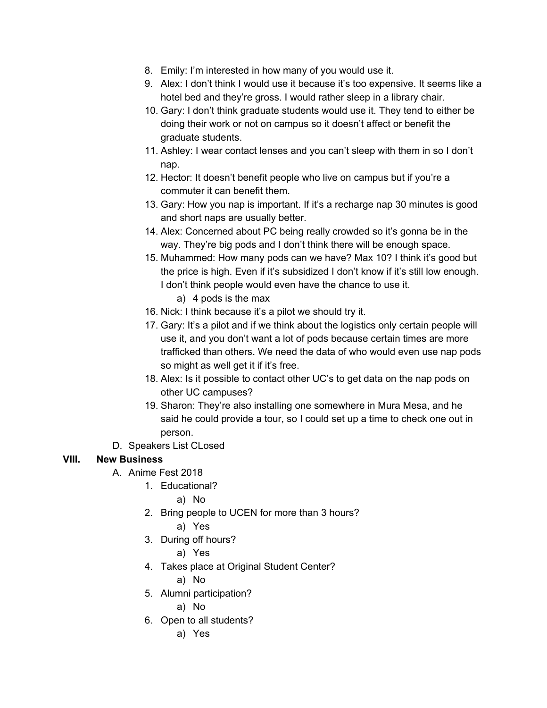- 8. Emily: I'm interested in how many of you would use it.
- 9. Alex: I don't think I would use it because it's too expensive. It seems like a hotel bed and they're gross. I would rather sleep in a library chair.
- 10. Gary: I don't think graduate students would use it. They tend to either be doing their work or not on campus so it doesn't affect or benefit the graduate students.
- 11. Ashley: I wear contact lenses and you can't sleep with them in so I don't nap.
- 12. Hector: It doesn't benefit people who live on campus but if you're a commuter it can benefit them.
- 13. Gary: How you nap is important. If it's a recharge nap 30 minutes is good and short naps are usually better.
- 14. Alex: Concerned about PC being really crowded so it's gonna be in the way. They're big pods and I don't think there will be enough space.
- 15. Muhammed: How many pods can we have? Max 10? I think it's good but the price is high. Even if it's subsidized I don't know if it's still low enough. I don't think people would even have the chance to use it.
	- a) 4 pods is the max
- 16. Nick: I think because it's a pilot we should try it.
- 17. Gary: It's a pilot and if we think about the logistics only certain people will use it, and you don't want a lot of pods because certain times are more trafficked than others. We need the data of who would even use nap pods so might as well get it if it's free.
- 18. Alex: Is it possible to contact other UC's to get data on the nap pods on other UC campuses?
- 19. Sharon: They're also installing one somewhere in Mura Mesa, and he said he could provide a tour, so I could set up a time to check one out in person.
- D. Speakers List CLosed

## **VIII. New Business**

- A. Anime Fest 2018
	- 1. Educational?
		- a) No
	- 2. Bring people to UCEN for more than 3 hours?
		- a) Yes
	- 3. During off hours?
		- a) Yes
	- 4. Takes place at Original Student Center?
		- a) No
	- 5. Alumni participation?
		- a) No
	- 6. Open to all students?
		- a) Yes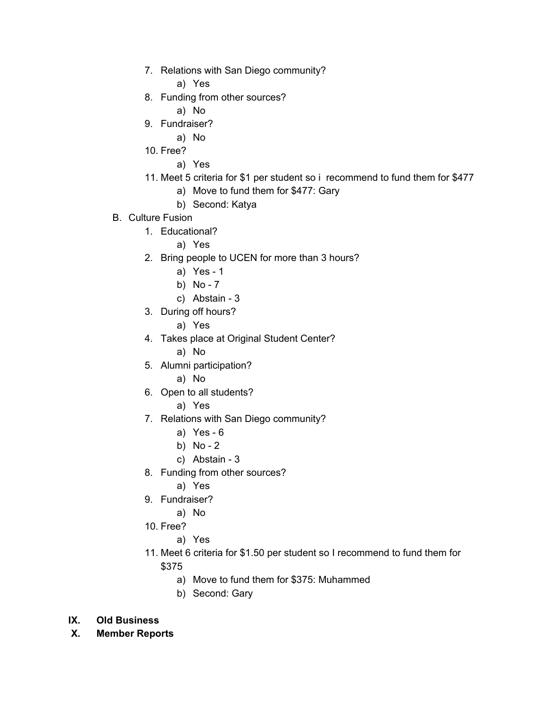7. Relations with San Diego community?

a) Yes

- 8. Funding from other sources?
	- a) No
- 9. Fundraiser?
	- a) No
- 10. Free?
	- a) Yes
- 11. Meet 5 criteria for \$1 per student so i recommend to fund them for \$477
	- a) Move to fund them for \$477: Gary
	- b) Second: Katya
- B. Culture Fusion
	- 1. Educational?
		- a) Yes
	- 2. Bring people to UCEN for more than 3 hours?
		- a) Yes 1
		- b) No 7
		- c) Abstain 3
	- 3. During off hours?
		- a) Yes
	- 4. Takes place at Original Student Center?
		- a) No
	- 5. Alumni participation?
		- a) No
	- 6. Open to all students?
		- a) Yes
	- 7. Relations with San Diego community?
		- a) Yes 6
		- b) No 2
		- c) Abstain 3
	- 8. Funding from other sources?
		- a) Yes
	- 9. Fundraiser?
		- a) No
	- 10. Free?
		- a) Yes
	- 11. Meet 6 criteria for \$1.50 per student so I recommend to fund them for \$375
		- a) Move to fund them for \$375: Muhammed
		- b) Second: Gary
- **IX. Old Business**
- **X. Member Reports**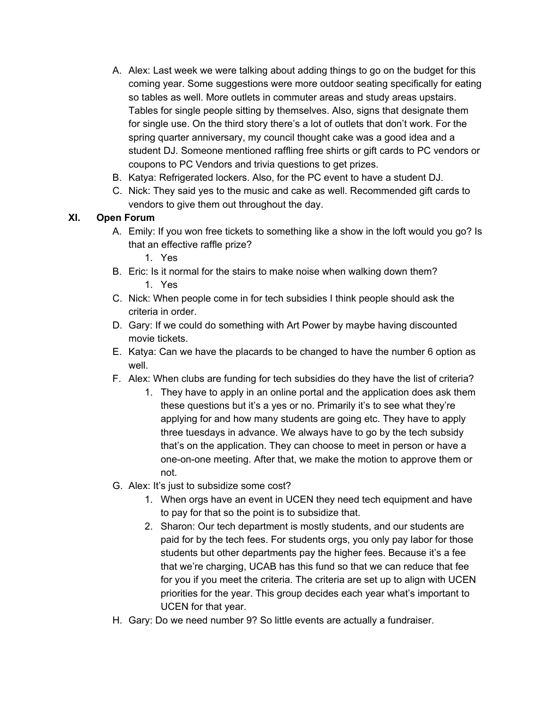- A. Alex: Last week we were talking about adding things to go on the budget for this coming year. Some suggestions were more outdoor seating specifically for eating so tables as well. More outlets in commuter areas and study areas upstairs. Tables for single people sitting by themselves. Also, signs that designate them for single use. On the third story there's a lot of outlets that don't work. For the spring quarter anniversary, my council thought cake was a good idea and a student DJ. Someone mentioned raffling free shirts or gift cards to PC vendors or coupons to PC Vendors and trivia questions to get prizes.
- B. Katya: Refrigerated lockers. Also, for the PC event to have a student DJ.
- C. Nick: They said yes to the music and cake as well. Recommended gift cards to vendors to give them out throughout the day.

### **XI. Open Forum**

- A. Emily: If you won free tickets to something like a show in the loft would you go? Is that an effective raffle prize?
	- 1. Yes
- B. Eric: Is it normal for the stairs to make noise when walking down them? 1. Yes
- C. Nick: When people come in for tech subsidies I think people should ask the criteria in order.
- D. Gary: If we could do something with Art Power by maybe having discounted movie tickets.
- E. Katya: Can we have the placards to be changed to have the number 6 option as well.
- F. Alex: When clubs are funding for tech subsidies do they have the list of criteria?
	- 1. They have to apply in an online portal and the application does ask them these questions but it's a yes or no. Primarily it's to see what they're applying for and how many students are going etc. They have to apply three tuesdays in advance. We always have to go by the tech subsidy that's on the application. They can choose to meet in person or have a one-on-one meeting. After that, we make the motion to approve them or not.
- G. Alex: It's just to subsidize some cost?
	- 1. When orgs have an event in UCEN they need tech equipment and have to pay for that so the point is to subsidize that.
	- 2. Sharon: Our tech department is mostly students, and our students are paid for by the tech fees. For students orgs, you only pay labor for those students but other departments pay the higher fees. Because it's a fee that we're charging, UCAB has this fund so that we can reduce that fee for you if you meet the criteria. The criteria are set up to align with UCEN priorities for the year. This group decides each year what's important to UCEN for that year.
- H. Gary: Do we need number 9? So little events are actually a fundraiser.